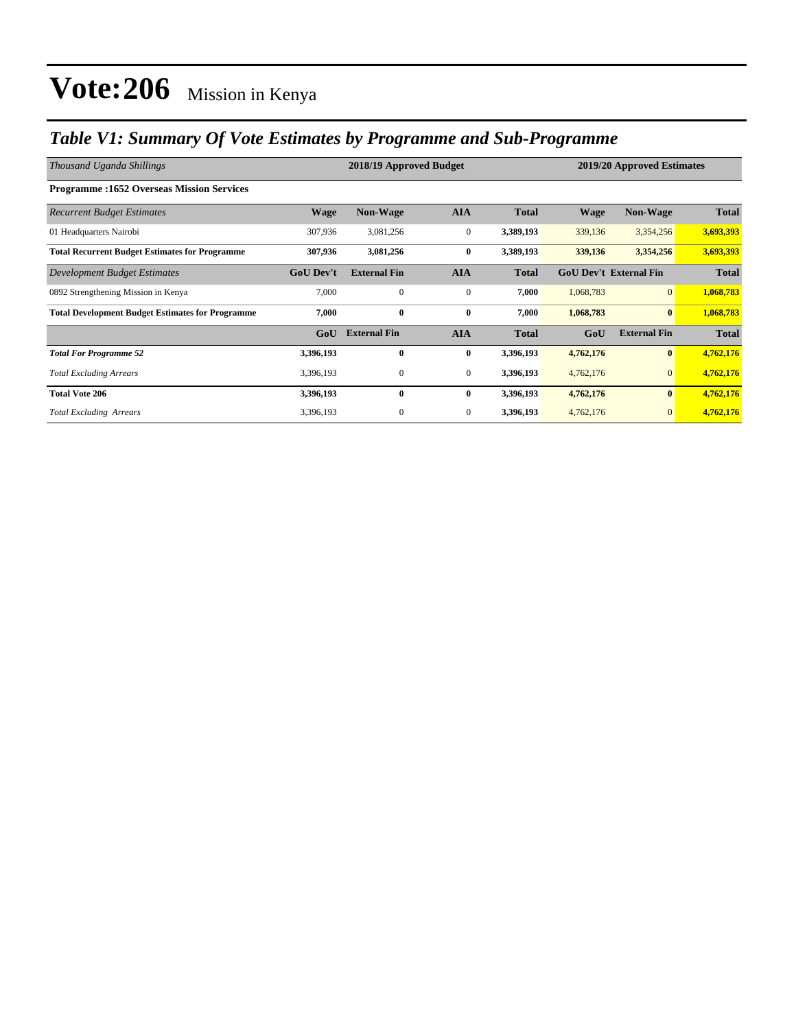## *Table V1: Summary Of Vote Estimates by Programme and Sub-Programme*

| Thousand Uganda Shillings                               |                  | 2018/19 Approved Budget |                  | 2019/20 Approved Estimates |                               |                     |              |
|---------------------------------------------------------|------------------|-------------------------|------------------|----------------------------|-------------------------------|---------------------|--------------|
| <b>Programme:1652 Overseas Mission Services</b>         |                  |                         |                  |                            |                               |                     |              |
| <b>Recurrent Budget Estimates</b>                       | <b>Wage</b>      | <b>Non-Wage</b>         | <b>AIA</b>       | <b>Total</b>               | <b>Wage</b>                   | <b>Non-Wage</b>     | <b>Total</b> |
| 01 Headquarters Nairobi                                 | 307,936          | 3,081,256               | $\boldsymbol{0}$ | 3,389,193                  | 339,136                       | 3,354,256           | 3,693,393    |
| <b>Total Recurrent Budget Estimates for Programme</b>   | 307,936          | 3,081,256               | $\bf{0}$         | 3,389,193                  | 339,136                       | 3,354,256           | 3,693,393    |
| Development Budget Estimates                            | <b>GoU</b> Dev't | <b>External Fin</b>     | <b>AIA</b>       | <b>Total</b>               | <b>GoU Dev't External Fin</b> |                     | <b>Total</b> |
| 0892 Strengthening Mission in Kenya                     | 7,000            | $\mathbf{0}$            | $\mathbf{0}$     | 7,000                      | 1,068,783                     | $\mathbf{0}$        | 1,068,783    |
| <b>Total Development Budget Estimates for Programme</b> | 7,000            | $\bf{0}$                | $\bf{0}$         | 7,000                      | 1,068,783                     | $\bf{0}$            | 1,068,783    |
|                                                         | GoU              | <b>External Fin</b>     | <b>AIA</b>       | <b>Total</b>               | GoU                           | <b>External Fin</b> | <b>Total</b> |
| <b>Total For Programme 52</b>                           | 3,396,193        | $\bf{0}$                | $\bf{0}$         | 3,396,193                  | 4,762,176                     | $\bf{0}$            | 4,762,176    |
| <b>Total Excluding Arrears</b>                          | 3,396,193        | $\boldsymbol{0}$        | $\mathbf{0}$     | 3,396,193                  | 4,762,176                     | $\mathbf{0}$        | 4,762,176    |
| <b>Total Vote 206</b>                                   | 3,396,193        | $\bf{0}$                | $\bf{0}$         | 3,396,193                  | 4,762,176                     | $\bf{0}$            | 4,762,176    |
| <b>Total Excluding Arrears</b>                          | 3,396,193        | $\mathbf{0}$            | $\mathbf{0}$     | 3,396,193                  | 4,762,176                     | $\overline{0}$      | 4,762,176    |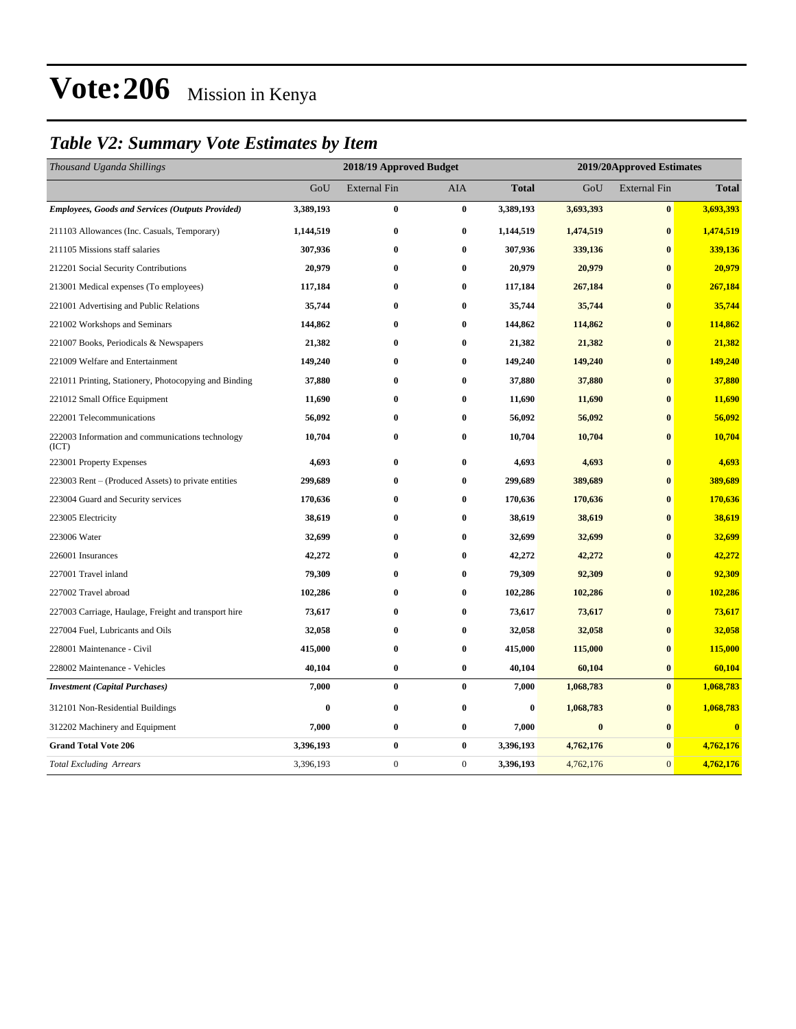## *Table V2: Summary Vote Estimates by Item*

| Thousand Uganda Shillings                                 | 2018/19 Approved Budget |                     |              |              | 2019/20Approved Estimates |                     |              |  |
|-----------------------------------------------------------|-------------------------|---------------------|--------------|--------------|---------------------------|---------------------|--------------|--|
|                                                           | GoU                     | <b>External Fin</b> | <b>AIA</b>   | <b>Total</b> | GoU                       | <b>External Fin</b> | <b>Total</b> |  |
| <b>Employees, Goods and Services (Outputs Provided)</b>   | 3,389,193               | $\boldsymbol{0}$    | $\bf{0}$     | 3,389,193    | 3,693,393                 | $\pmb{0}$           | 3,693,393    |  |
| 211103 Allowances (Inc. Casuals, Temporary)               | 1,144,519               | $\bf{0}$            | $\bf{0}$     | 1,144,519    | 1,474,519                 | $\bf{0}$            | 1,474,519    |  |
| 211105 Missions staff salaries                            | 307,936                 | $\bf{0}$            | $\bf{0}$     | 307,936      | 339,136                   | $\mathbf{0}$        | 339,136      |  |
| 212201 Social Security Contributions                      | 20,979                  | $\bf{0}$            | $\bf{0}$     | 20,979       | 20,979                    | $\bf{0}$            | 20,979       |  |
| 213001 Medical expenses (To employees)                    | 117,184                 | $\bf{0}$            | $\bf{0}$     | 117,184      | 267,184                   | $\bf{0}$            | 267,184      |  |
| 221001 Advertising and Public Relations                   | 35,744                  | $\bf{0}$            | $\bf{0}$     | 35,744       | 35,744                    | $\bf{0}$            | 35,744       |  |
| 221002 Workshops and Seminars                             | 144,862                 | $\bf{0}$            | $\bf{0}$     | 144,862      | 114,862                   | $\bf{0}$            | 114,862      |  |
| 221007 Books, Periodicals & Newspapers                    | 21,382                  | $\bf{0}$            | $\bf{0}$     | 21,382       | 21,382                    | $\bf{0}$            | 21,382       |  |
| 221009 Welfare and Entertainment                          | 149,240                 | $\bf{0}$            | $\bf{0}$     | 149,240      | 149,240                   | $\bf{0}$            | 149,240      |  |
| 221011 Printing, Stationery, Photocopying and Binding     | 37,880                  | $\bf{0}$            | $\bf{0}$     | 37,880       | 37,880                    | $\bf{0}$            | 37,880       |  |
| 221012 Small Office Equipment                             | 11,690                  | $\bf{0}$            | $\bf{0}$     | 11,690       | 11,690                    | $\bf{0}$            | 11,690       |  |
| 222001 Telecommunications                                 | 56,092                  | $\bf{0}$            | $\bf{0}$     | 56,092       | 56,092                    | $\bf{0}$            | 56,092       |  |
| 222003 Information and communications technology<br>(ICT) | 10,704                  | $\bf{0}$            | $\bf{0}$     | 10,704       | 10,704                    | $\bf{0}$            | 10,704       |  |
| 223001 Property Expenses                                  | 4,693                   | $\bf{0}$            | $\bf{0}$     | 4,693        | 4,693                     | $\bf{0}$            | 4,693        |  |
| 223003 Rent – (Produced Assets) to private entities       | 299,689                 | $\bf{0}$            | $\bf{0}$     | 299,689      | 389,689                   | $\bf{0}$            | 389,689      |  |
| 223004 Guard and Security services                        | 170,636                 | $\bf{0}$            | $\bf{0}$     | 170,636      | 170,636                   | $\bf{0}$            | 170,636      |  |
| 223005 Electricity                                        | 38,619                  | 0                   | $\bf{0}$     | 38,619       | 38,619                    | $\bf{0}$            | 38,619       |  |
| 223006 Water                                              | 32,699                  | 0                   | $\bf{0}$     | 32,699       | 32,699                    | $\bf{0}$            | 32,699       |  |
| 226001 Insurances                                         | 42,272                  | $\bf{0}$            | $\bf{0}$     | 42,272       | 42,272                    | $\bf{0}$            | 42,272       |  |
| 227001 Travel inland                                      | 79,309                  | $\bf{0}$            | $\bf{0}$     | 79,309       | 92,309                    | $\bf{0}$            | 92,309       |  |
| 227002 Travel abroad                                      | 102,286                 | $\bf{0}$            | $\bf{0}$     | 102,286      | 102,286                   | $\bf{0}$            | 102,286      |  |
| 227003 Carriage, Haulage, Freight and transport hire      | 73,617                  | $\bf{0}$            | $\bf{0}$     | 73,617       | 73,617                    | $\mathbf{0}$        | 73,617       |  |
| 227004 Fuel, Lubricants and Oils                          | 32,058                  | $\bf{0}$            | $\bf{0}$     | 32,058       | 32,058                    | $\bf{0}$            | 32,058       |  |
| 228001 Maintenance - Civil                                | 415,000                 | $\bf{0}$            | $\bf{0}$     | 415,000      | 115,000                   | $\bf{0}$            | 115,000      |  |
| 228002 Maintenance - Vehicles                             | 40,104                  | $\bf{0}$            | $\bf{0}$     | 40,104       | 60,104                    | $\bf{0}$            | 60,104       |  |
| <b>Investment</b> (Capital Purchases)                     | 7,000                   | $\bf{0}$            | $\bf{0}$     | 7,000        | 1,068,783                 | $\bf{0}$            | 1,068,783    |  |
| 312101 Non-Residential Buildings                          | $\bf{0}$                | $\pmb{0}$           | $\bf{0}$     | $\bf{0}$     | 1,068,783                 | $\bf{0}$            | 1,068,783    |  |
| 312202 Machinery and Equipment                            | 7,000                   | $\bf{0}$            | $\bf{0}$     | 7,000        | $\bf{0}$                  | $\bf{0}$            | $\bf{0}$     |  |
| <b>Grand Total Vote 206</b>                               | 3,396,193               | $\bf{0}$            | $\bf{0}$     | 3,396,193    | 4,762,176                 | $\bf{0}$            | 4,762,176    |  |
| <b>Total Excluding Arrears</b>                            | 3,396,193               | $\boldsymbol{0}$    | $\mathbf{0}$ | 3,396,193    | 4,762,176                 | $\mathbf{0}$        | 4,762,176    |  |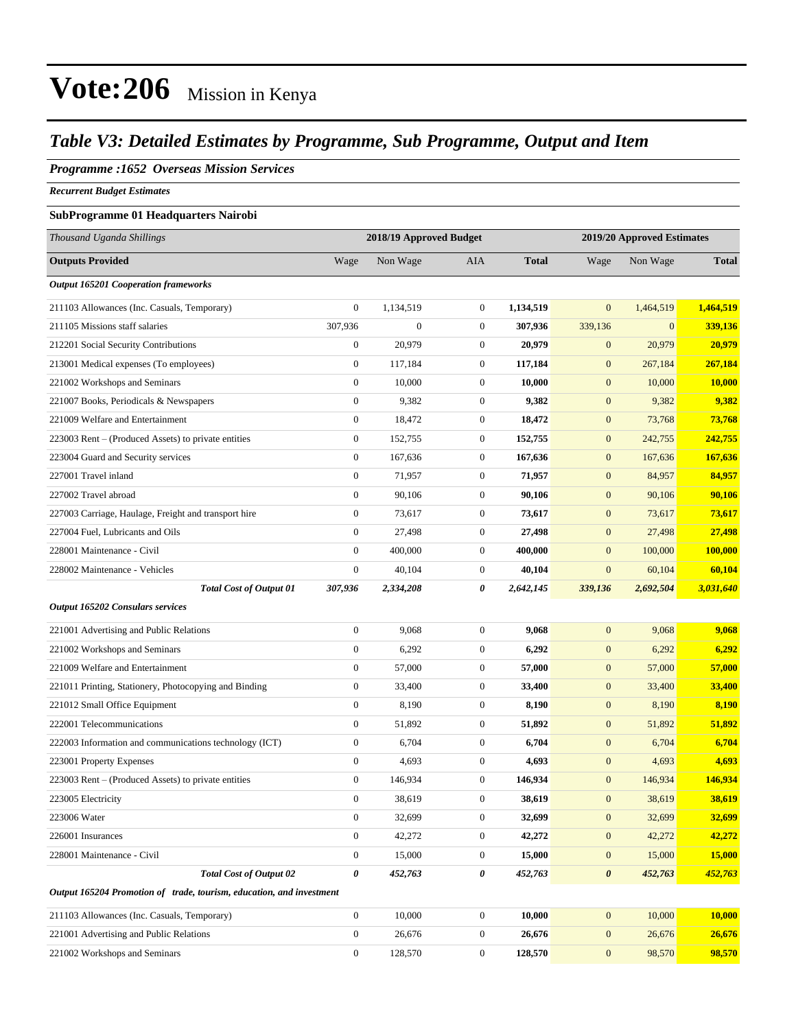### *Table V3: Detailed Estimates by Programme, Sub Programme, Output and Item*

#### *Programme :1652 Overseas Mission Services*

*Recurrent Budget Estimates*

#### **SubProgramme 01 Headquarters Nairobi**

| Thousand Uganda Shillings                                            | 2018/19 Approved Budget |                  |                  | 2019/20 Approved Estimates |                       |              |                 |
|----------------------------------------------------------------------|-------------------------|------------------|------------------|----------------------------|-----------------------|--------------|-----------------|
| <b>Outputs Provided</b>                                              | Wage                    | Non Wage         | AIA              | <b>Total</b>               | Wage                  | Non Wage     | <b>Total</b>    |
| <b>Output 165201 Cooperation frameworks</b>                          |                         |                  |                  |                            |                       |              |                 |
| 211103 Allowances (Inc. Casuals, Temporary)                          | $\boldsymbol{0}$        | 1,134,519        | $\boldsymbol{0}$ | 1,134,519                  | $\mathbf{0}$          | 1,464,519    | 1,464,519       |
| 211105 Missions staff salaries                                       | 307,936                 | $\boldsymbol{0}$ | $\mathbf{0}$     | 307,936                    | 339,136               | $\mathbf{0}$ | 339,136         |
| 212201 Social Security Contributions                                 | $\boldsymbol{0}$        | 20,979           | $\mathbf{0}$     | 20,979                     | $\mathbf{0}$          | 20,979       | 20,979          |
| 213001 Medical expenses (To employees)                               | $\boldsymbol{0}$        | 117,184          | $\mathbf{0}$     | 117,184                    | $\boldsymbol{0}$      | 267,184      | 267,184         |
| 221002 Workshops and Seminars                                        | $\mathbf{0}$            | 10,000           | $\mathbf{0}$     | 10,000                     | $\boldsymbol{0}$      | 10,000       | 10,000          |
| 221007 Books, Periodicals & Newspapers                               | $\boldsymbol{0}$        | 9,382            | $\mathbf{0}$     | 9,382                      | $\boldsymbol{0}$      | 9,382        | 9,382           |
| 221009 Welfare and Entertainment                                     | $\boldsymbol{0}$        | 18,472           | $\mathbf{0}$     | 18,472                     | $\mathbf{0}$          | 73,768       | 73,768          |
| 223003 Rent – (Produced Assets) to private entities                  | $\boldsymbol{0}$        | 152,755          | $\mathbf{0}$     | 152,755                    | $\boldsymbol{0}$      | 242,755      | 242,755         |
| 223004 Guard and Security services                                   | $\boldsymbol{0}$        | 167,636          | $\mathbf{0}$     | 167,636                    | $\boldsymbol{0}$      | 167,636      | 167,636         |
| 227001 Travel inland                                                 | $\mathbf{0}$            | 71,957           | $\boldsymbol{0}$ | 71,957                     | $\boldsymbol{0}$      | 84,957       | 84,957          |
| 227002 Travel abroad                                                 | $\boldsymbol{0}$        | 90,106           | $\mathbf{0}$     | 90,106                     | $\boldsymbol{0}$      | 90,106       | 90,106          |
| 227003 Carriage, Haulage, Freight and transport hire                 | $\boldsymbol{0}$        | 73,617           | $\boldsymbol{0}$ | 73,617                     | $\mathbf{0}$          | 73,617       | 73,617          |
| 227004 Fuel, Lubricants and Oils                                     | 0                       | 27,498           | $\mathbf{0}$     | 27,498                     | $\boldsymbol{0}$      | 27,498       | 27,498          |
| 228001 Maintenance - Civil                                           | $\boldsymbol{0}$        | 400,000          | $\mathbf{0}$     | 400,000                    | $\boldsymbol{0}$      | 100,000      | 100,000         |
| 228002 Maintenance - Vehicles                                        | $\boldsymbol{0}$        | 40,104           | $\boldsymbol{0}$ | 40,104                     | $\mathbf{0}$          | 60,104       | 60,104          |
| <b>Total Cost of Output 01</b>                                       | 307,936                 | 2,334,208        | 0                | 2,642,145                  | 339,136               | 2,692,504    | 3,031,640       |
| <b>Output 165202 Consulars services</b>                              |                         |                  |                  |                            |                       |              |                 |
| 221001 Advertising and Public Relations                              | $\boldsymbol{0}$        | 9,068            | $\boldsymbol{0}$ | 9,068                      | $\boldsymbol{0}$      | 9,068        | 9,068           |
| 221002 Workshops and Seminars                                        | $\boldsymbol{0}$        | 6,292            | $\mathbf{0}$     | 6,292                      | $\mathbf{0}$          | 6,292        | 6,292           |
| 221009 Welfare and Entertainment                                     | $\boldsymbol{0}$        | 57,000           | $\boldsymbol{0}$ | 57,000                     | $\boldsymbol{0}$      | 57,000       | 57,000          |
| 221011 Printing, Stationery, Photocopying and Binding                | $\boldsymbol{0}$        | 33,400           | $\mathbf{0}$     | 33,400                     | $\boldsymbol{0}$      | 33,400       | 33,400          |
| 221012 Small Office Equipment                                        | $\boldsymbol{0}$        | 8,190            | $\mathbf{0}$     | 8,190                      | $\boldsymbol{0}$      | 8,190        | 8,190           |
| 222001 Telecommunications                                            | $\boldsymbol{0}$        | 51,892           | $\boldsymbol{0}$ | 51,892                     | $\boldsymbol{0}$      | 51,892       | 51,892          |
| 222003 Information and communications technology (ICT)               | $\boldsymbol{0}$        | 6,704            | $\mathbf{0}$     | 6,704                      | $\boldsymbol{0}$      | 6,704        | 6,704           |
| 223001 Property Expenses                                             | $\boldsymbol{0}$        | 4,693            | $\mathbf{0}$     | 4,693                      | $\boldsymbol{0}$      | 4,693        | 4,693           |
| 223003 Rent - (Produced Assets) to private entities                  | $\mathbf{0}$            | 146,934          | $\mathbf{0}$     | 146,934                    | $\mathbf{0}$          | 146,934      | 146,934         |
| 223005 Electricity                                                   | $\boldsymbol{0}$        | 38,619           | $\boldsymbol{0}$ | 38,619                     | $\mathbf{0}$          | 38,619       | 38,619          |
| 223006 Water                                                         | $\boldsymbol{0}$        | 32,699           | $\boldsymbol{0}$ | 32,699                     | $\mathbf{0}$          | 32,699       | 32,699          |
| 226001 Insurances                                                    | $\overline{0}$          | 42,272           | $\mathbf{0}$     | 42,272                     | $\mathbf{0}$          | 42,272       | 42,272          |
| 228001 Maintenance - Civil                                           | $\boldsymbol{0}$        | 15,000           | $\boldsymbol{0}$ | 15,000                     | $\boldsymbol{0}$      | 15,000       | 15,000          |
| <b>Total Cost of Output 02</b>                                       | 0                       | 452,763          | 0                | 452,763                    | $\boldsymbol{\theta}$ | 452,763      | <u>452,763 </u> |
| Output 165204 Promotion of trade, tourism, education, and investment |                         |                  |                  |                            |                       |              |                 |
| 211103 Allowances (Inc. Casuals, Temporary)                          | $\overline{0}$          | 10,000           | $\boldsymbol{0}$ | 10,000                     | $\mathbf{0}$          | 10,000       | 10,000          |
| 221001 Advertising and Public Relations                              | $\boldsymbol{0}$        | 26,676           | $\boldsymbol{0}$ | 26,676                     | $\mathbf{0}$          | 26,676       | 26,676          |
| 221002 Workshops and Seminars                                        | $\boldsymbol{0}$        | 128,570          | $\boldsymbol{0}$ | 128,570                    | $\boldsymbol{0}$      | 98,570       | 98,570          |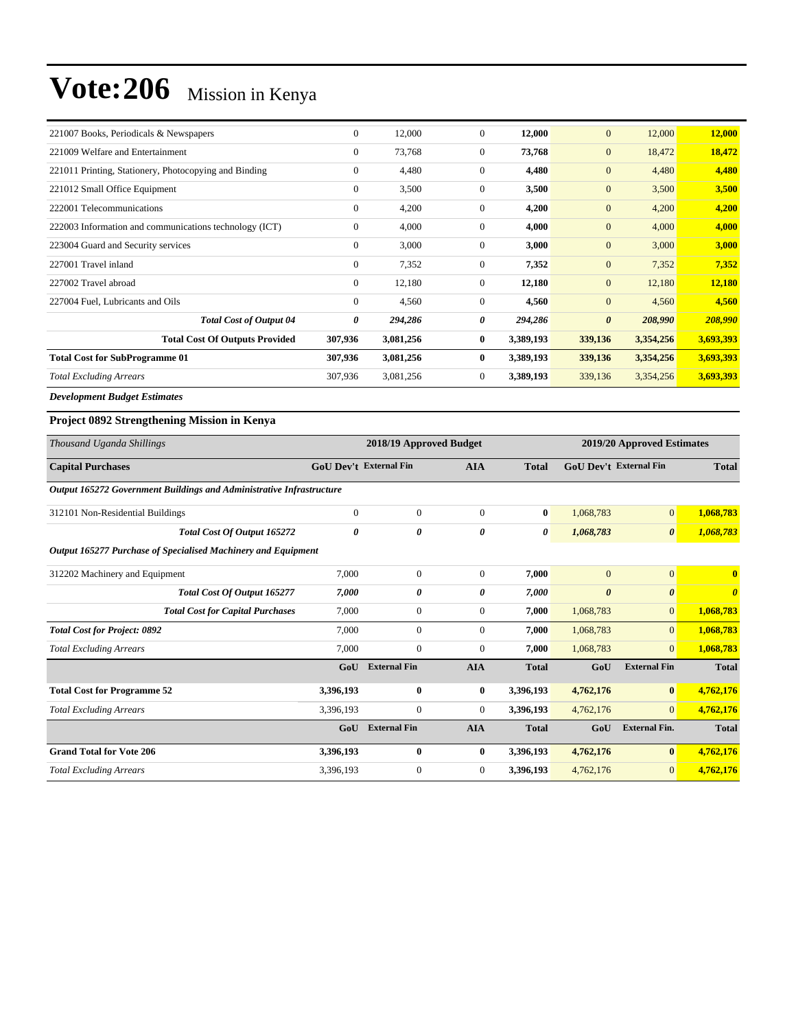| 221007 Books, Periodicals & Newspapers                 | $\mathbf{0}$ | 12,000    | 0            | 12,000    | $\mathbf{0}$          | 12,000    | 12,000    |
|--------------------------------------------------------|--------------|-----------|--------------|-----------|-----------------------|-----------|-----------|
| 221009 Welfare and Entertainment                       | $\mathbf{0}$ | 73,768    | $\Omega$     | 73,768    | $\mathbf{0}$          | 18,472    | 18,472    |
| 221011 Printing, Stationery, Photocopying and Binding  | $\mathbf{0}$ | 4,480     | $\mathbf{0}$ | 4,480     | $\mathbf{0}$          | 4,480     | 4,480     |
| 221012 Small Office Equipment                          | $\mathbf{0}$ | 3,500     | $\mathbf{0}$ | 3,500     | $\mathbf{0}$          | 3,500     | 3,500     |
| 222001 Telecommunications                              | $\mathbf{0}$ | 4,200     | $\Omega$     | 4,200     | $\mathbf{0}$          | 4,200     | 4,200     |
| 222003 Information and communications technology (ICT) | $\mathbf{0}$ | 4,000     | $\mathbf{0}$ | 4,000     | $\mathbf{0}$          | 4,000     | 4,000     |
| 223004 Guard and Security services                     | $\Omega$     | 3,000     | $\Omega$     | 3,000     | $\mathbf{0}$          | 3,000     | 3,000     |
| 227001 Travel inland                                   | $\mathbf{0}$ | 7,352     | $\mathbf{0}$ | 7,352     | $\mathbf{0}$          | 7,352     | 7,352     |
| 227002 Travel abroad                                   | $\mathbf{0}$ | 12,180    | $\mathbf{0}$ | 12,180    | $\mathbf{0}$          | 12,180    | 12,180    |
| 227004 Fuel, Lubricants and Oils                       | $\Omega$     | 4,560     | $\Omega$     | 4,560     | $\mathbf{0}$          | 4,560     | 4,560     |
| <b>Total Cost of Output 04</b>                         | 0            | 294,286   | 0            | 294,286   | $\boldsymbol{\theta}$ | 208,990   | 208,990   |
| <b>Total Cost Of Outputs Provided</b>                  | 307,936      | 3,081,256 | $\bf{0}$     | 3,389,193 | 339,136               | 3,354,256 | 3,693,393 |
| <b>Total Cost for SubProgramme 01</b>                  | 307,936      | 3,081,256 | 0            | 3,389,193 | 339,136               | 3,354,256 | 3,693,393 |
| <b>Total Excluding Arrears</b>                         | 307,936      | 3,081,256 | $\mathbf{0}$ | 3,389,193 | 339,136               | 3,354,256 | 3,693,393 |

*Development Budget Estimates*

#### **Project 0892 Strengthening Mission in Kenya**

| Thousand Uganda Shillings                                            | 2018/19 Approved Budget       |                     |              |              | 2019/20 Approved Estimates |                        |                       |  |
|----------------------------------------------------------------------|-------------------------------|---------------------|--------------|--------------|----------------------------|------------------------|-----------------------|--|
| <b>Capital Purchases</b>                                             | <b>GoU Dev't External Fin</b> |                     | <b>AIA</b>   | <b>Total</b> |                            | GoU Dev't External Fin | <b>Total</b>          |  |
| Output 165272 Government Buildings and Administrative Infrastructure |                               |                     |              |              |                            |                        |                       |  |
| 312101 Non-Residential Buildings                                     | $\mathbf{0}$                  | $\overline{0}$      | $\mathbf{0}$ | $\bf{0}$     | 1,068,783                  | $\overline{0}$         | 1,068,783             |  |
| Total Cost Of Output 165272                                          | 0                             | 0                   | 0            | 0            | 1,068,783                  | $\boldsymbol{\theta}$  | 1,068,783             |  |
| Output 165277 Purchase of Specialised Machinery and Equipment        |                               |                     |              |              |                            |                        |                       |  |
| 312202 Machinery and Equipment                                       | 7,000                         | 0                   | $\mathbf{0}$ | 7,000        | $\mathbf{0}$               | $\mathbf{0}$           | $\mathbf{0}$          |  |
| <b>Total Cost Of Output 165277</b>                                   | 7,000                         | 0                   | 0            | 7,000        | $\boldsymbol{\theta}$      | $\boldsymbol{\theta}$  | $\boldsymbol{\theta}$ |  |
| <b>Total Cost for Capital Purchases</b>                              | 7,000                         | 0                   | $\mathbf{0}$ | 7,000        | 1,068,783                  | $\overline{0}$         | 1,068,783             |  |
| <b>Total Cost for Project: 0892</b>                                  | 7,000                         | $\overline{0}$      | $\mathbf{0}$ | 7,000        | 1,068,783                  | $\overline{0}$         | 1,068,783             |  |
| <b>Total Excluding Arrears</b>                                       | 7,000                         | $\overline{0}$      | $\mathbf{0}$ | 7,000        | 1,068,783                  | $\overline{0}$         | 1,068,783             |  |
|                                                                      | GoU                           | <b>External Fin</b> | <b>AIA</b>   | <b>Total</b> | GoU                        | <b>External Fin</b>    | <b>Total</b>          |  |
| <b>Total Cost for Programme 52</b>                                   | 3,396,193                     | 0                   | $\bf{0}$     | 3,396,193    | 4,762,176                  | $\bf{0}$               | 4,762,176             |  |
| <b>Total Excluding Arrears</b>                                       | 3,396,193                     | 0                   | $\mathbf{0}$ | 3,396,193    | 4,762,176                  | $\overline{0}$         | 4,762,176             |  |
|                                                                      | GoU                           | <b>External Fin</b> | <b>AIA</b>   | <b>Total</b> | GoU                        | <b>External Fin.</b>   | <b>Total</b>          |  |
| <b>Grand Total for Vote 206</b>                                      | 3,396,193                     | 0                   | $\mathbf{0}$ | 3,396,193    | 4,762,176                  | $\bf{0}$               | 4,762,176             |  |
| <b>Total Excluding Arrears</b>                                       | 3,396,193                     | $\overline{0}$      | $\mathbf{0}$ | 3,396,193    | 4,762,176                  | $\overline{0}$         | 4,762,176             |  |